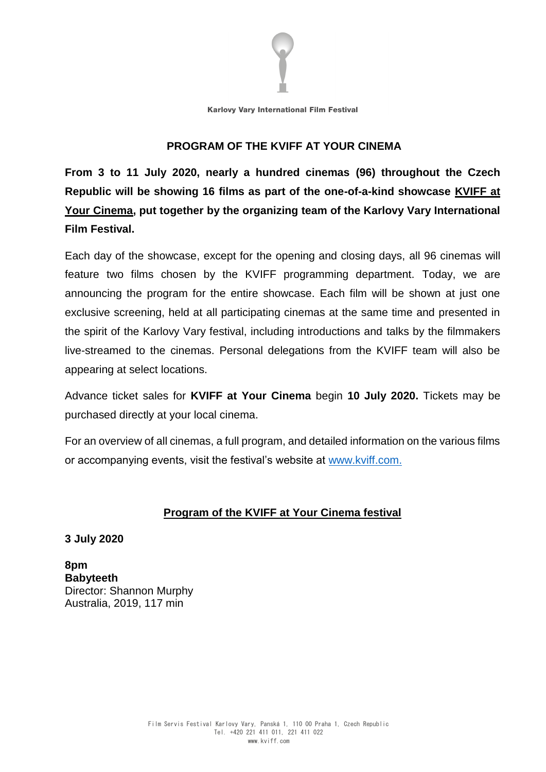

#### **PROGRAM OF THE KVIFF AT YOUR CINEMA**

**From 3 to 11 July 2020, nearly a hundred cinemas (96) throughout the Czech Republic will be showing 16 films as part of the one-of-a-kind showcase KVIFF at Your Cinema, put together by the organizing team of the Karlovy Vary International Film Festival.**

Each day of the showcase, except for the opening and closing days, all 96 cinemas will feature two films chosen by the KVIFF programming department. Today, we are announcing the program for the entire showcase. Each film will be shown at just one exclusive screening, held at all participating cinemas at the same time and presented in the spirit of the Karlovy Vary festival, including introductions and talks by the filmmakers live-streamed to the cinemas. Personal delegations from the KVIFF team will also be appearing at select locations.

Advance ticket sales for **KVIFF at Your Cinema** begin **10 July 2020.** Tickets may be purchased directly at your local cinema.

For an overview of all cinemas, a full program, and detailed information on the various films or accompanying events, visit the festival's website at [www.kviff.com.](http://www.kviff.com/)

## **Program of the KVIFF at Your Cinema festival**

**3 July 2020**

**8pm Babyteeth** Director: Shannon Murphy Australia, 2019, 117 min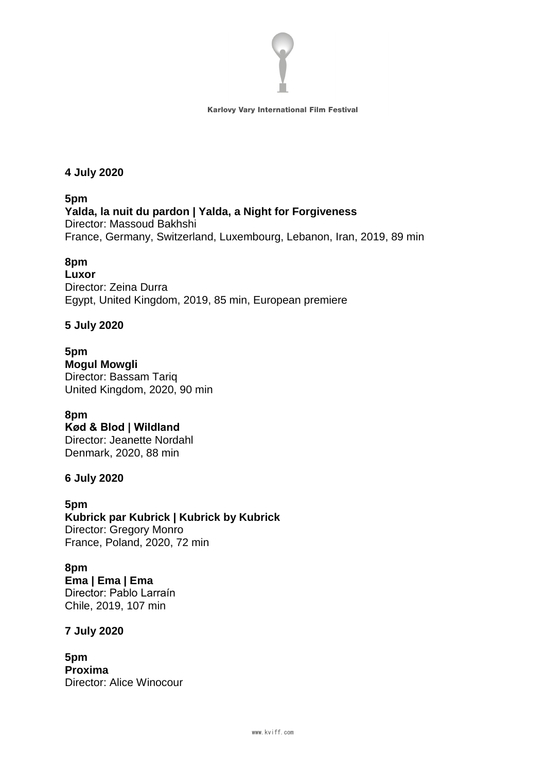

**4 July 2020**

**5pm Yalda, la nuit du pardon | Yalda, a Night for Forgiveness** Director: Massoud Bakhshi France, Germany, Switzerland, Luxembourg, Lebanon, Iran, 2019, 89 min

## **8pm**

**Luxor** Director: Zeina Durra Egypt, United Kingdom, 2019, 85 min, European premiere

## **5 July 2020**

**5pm Mogul Mowgli** Director: Bassam Tariq United Kingdom, 2020, 90 min

## **8pm**

**Kød & Blod | Wildland** Director: Jeanette Nordahl Denmark, 2020, 88 min

## **6 July 2020**

**5pm Kubrick par Kubrick | Kubrick by Kubrick** Director: Gregory Monro France, Poland, 2020, 72 min

**8pm Ema | Ema | Ema** Director: Pablo Larraín Chile, 2019, 107 min

## **7 July 2020**

**5pm Proxima** Director: Alice Winocour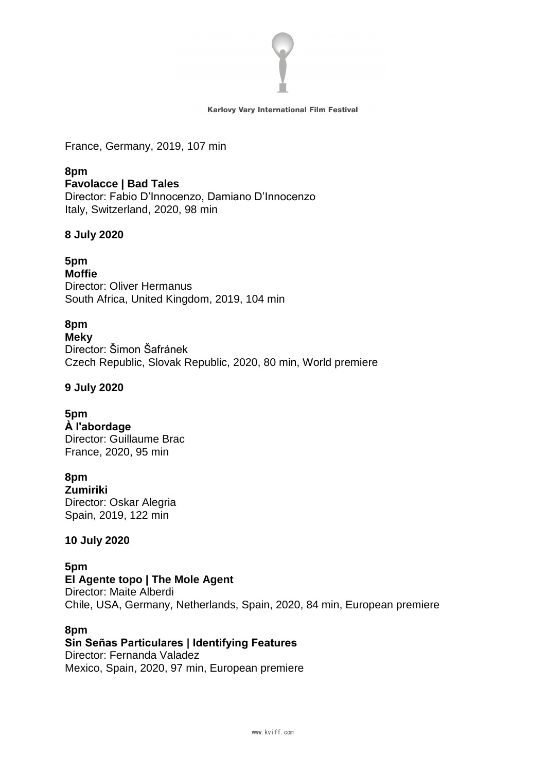

France, Germany, 2019, 107 min

**8pm Favolacce | Bad Tales** Director: Fabio D'Innocenzo, Damiano D'Innocenzo Italy, Switzerland, 2020, 98 min

## **8 July 2020**

# **5pm**

**Moffie** Director: Oliver Hermanus South Africa, United Kingdom, 2019, 104 min

## **8pm**

**Meky** Director: Šimon Šafránek Czech Republic, Slovak Republic, 2020, 80 min, World premiere

#### **9 July 2020**

## **5pm**

**À l'abordage** Director: Guillaume Brac France, 2020, 95 min

## **8pm**

**Zumiriki**  Director: Oskar Alegria Spain, 2019, 122 min

## **10 July 2020**

**5pm El Agente topo | The Mole Agent** Director: Maite Alberdi Chile, USA, Germany, Netherlands, Spain, 2020, 84 min, European premiere

#### **8pm**

**Sin Señas Particulares | Identifying Features** Director: Fernanda Valadez Mexico, Spain, 2020, 97 min, European premiere